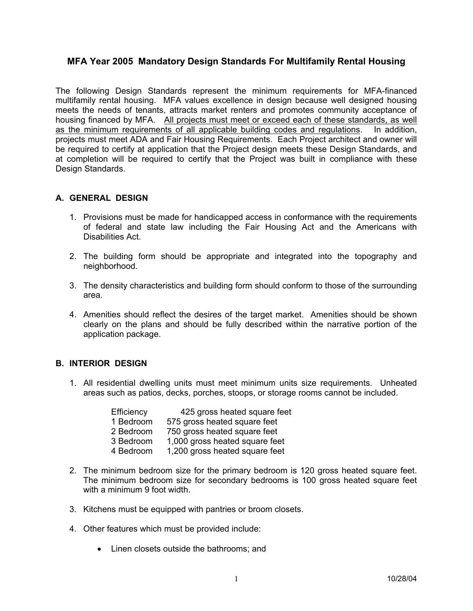# **MFA Year 2005 Mandatory Design Standards For Multifamily Rental Housing**

The following Design Standards represent the minimum requirements for MFA-financed multifamily rental housing. MFA values excellence in design because well designed housing meets the needs of tenants, attracts market renters and promotes community acceptance of housing financed by MFA. All projects must meet or exceed each of these standards, as well as the minimum requirements of all applicable building codes and regulations. In addition, projects must meet ADA and Fair Housing Requirements. Each Project architect and owner will be required to certify at application that the Project design meets these Design Standards, and at completion will be required to certify that the Project was built in compliance with these Design Standards.

### **A. GENERAL DESIGN**

- 1. Provisions must be made for handicapped access in conformance with the requirements of federal and state law including the Fair Housing Act and the Americans with Disabilities Act.
- 2. The building form should be appropriate and integrated into the topography and neighborhood.
- 3. The density characteristics and building form should conform to those of the surrounding area.
- 4. Amenities should reflect the desires of the target market. Amenities should be shown clearly on the plans and should be fully described within the narrative portion of the application package.

#### **B. INTERIOR DESIGN**

1. All residential dwelling units must meet minimum units size requirements. Unheated areas such as patios, decks, porches, stoops, or storage rooms cannot be included.

| 425 gross heated square feet   |
|--------------------------------|
| 575 gross heated square feet   |
| 750 gross heated square feet   |
| 1,000 gross heated square feet |
| 1,200 gross heated square feet |
|                                |

- 2. The minimum bedroom size for the primary bedroom is 120 gross heated square feet. The minimum bedroom size for secondary bedrooms is 100 gross heated square feet with a minimum 9 foot width.
- 3. Kitchens must be equipped with pantries or broom closets.
- 4. Other features which must be provided include:
	- Linen closets outside the bathrooms; and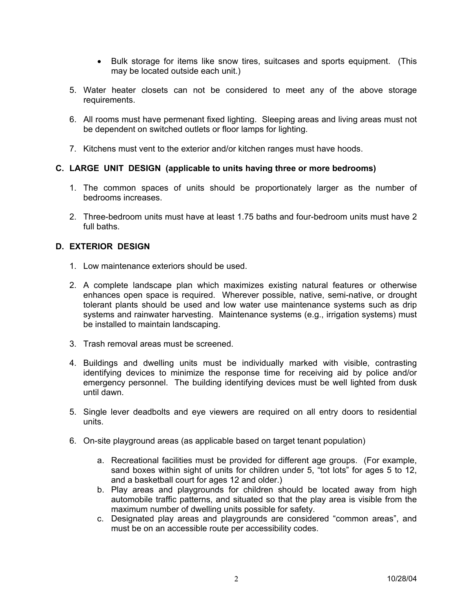- Bulk storage for items like snow tires, suitcases and sports equipment. (This may be located outside each unit.)
- 5. Water heater closets can not be considered to meet any of the above storage requirements.
- 6. All rooms must have permenant fixed lighting. Sleeping areas and living areas must not be dependent on switched outlets or floor lamps for lighting.
- 7. Kitchens must vent to the exterior and/or kitchen ranges must have hoods.

### **C. LARGE UNIT DESIGN (applicable to units having three or more bedrooms)**

- 1. The common spaces of units should be proportionately larger as the number of bedrooms increases.
- 2. Three-bedroom units must have at least 1.75 baths and four-bedroom units must have 2 full baths.

### **D. EXTERIOR DESIGN**

- 1. Low maintenance exteriors should be used.
- 2. A complete landscape plan which maximizes existing natural features or otherwise enhances open space is required. Wherever possible, native, semi-native, or drought tolerant plants should be used and low water use maintenance systems such as drip systems and rainwater harvesting. Maintenance systems (e.g., irrigation systems) must be installed to maintain landscaping.
- 3. Trash removal areas must be screened.
- 4. Buildings and dwelling units must be individually marked with visible, contrasting identifying devices to minimize the response time for receiving aid by police and/or emergency personnel. The building identifying devices must be well lighted from dusk until dawn.
- 5. Single lever deadbolts and eye viewers are required on all entry doors to residential units.
- 6. On-site playground areas (as applicable based on target tenant population)
	- a. Recreational facilities must be provided for different age groups. (For example, sand boxes within sight of units for children under 5, "tot lots" for ages 5 to 12, and a basketball court for ages 12 and older.)
	- b. Play areas and playgrounds for children should be located away from high automobile traffic patterns, and situated so that the play area is visible from the maximum number of dwelling units possible for safety.
	- c. Designated play areas and playgrounds are considered "common areas", and must be on an accessible route per accessibility codes.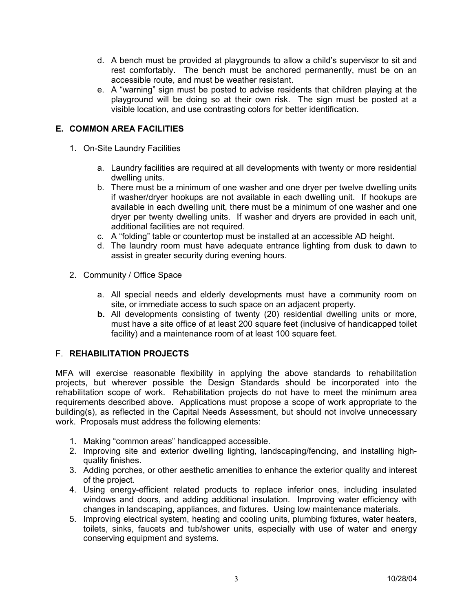- d. A bench must be provided at playgrounds to allow a child's supervisor to sit and rest comfortably. The bench must be anchored permanently, must be on an accessible route, and must be weather resistant.
- e. A "warning" sign must be posted to advise residents that children playing at the playground will be doing so at their own risk. The sign must be posted at a visible location, and use contrasting colors for better identification.

# **E. COMMON AREA FACILITIES**

- 1. On-Site Laundry Facilities
	- a. Laundry facilities are required at all developments with twenty or more residential dwelling units.
	- b. There must be a minimum of one washer and one dryer per twelve dwelling units if washer/dryer hookups are not available in each dwelling unit. If hookups are available in each dwelling unit, there must be a minimum of one washer and one dryer per twenty dwelling units. If washer and dryers are provided in each unit, additional facilities are not required.
	- c. A "folding" table or countertop must be installed at an accessible AD height.
	- d. The laundry room must have adequate entrance lighting from dusk to dawn to assist in greater security during evening hours.
- 2. Community / Office Space
	- a. All special needs and elderly developments must have a community room on site, or immediate access to such space on an adjacent property.
	- **b.** All developments consisting of twenty (20) residential dwelling units or more, must have a site office of at least 200 square feet (inclusive of handicapped toilet facility) and a maintenance room of at least 100 square feet.

### F. **REHABILITATION PROJECTS**

MFA will exercise reasonable flexibility in applying the above standards to rehabilitation projects, but wherever possible the Design Standards should be incorporated into the rehabilitation scope of work. Rehabilitation projects do not have to meet the minimum area requirements described above. Applications must propose a scope of work appropriate to the building(s), as reflected in the Capital Needs Assessment, but should not involve unnecessary work. Proposals must address the following elements:

- 1. Making "common areas" handicapped accessible.
- 2. Improving site and exterior dwelling lighting, landscaping/fencing, and installing highquality finishes.
- 3. Adding porches, or other aesthetic amenities to enhance the exterior quality and interest of the project.
- 4. Using energy-efficient related products to replace inferior ones, including insulated windows and doors, and adding additional insulation. Improving water efficiency with changes in landscaping, appliances, and fixtures. Using low maintenance materials.
- 5. Improving electrical system, heating and cooling units, plumbing fixtures, water heaters, toilets, sinks, faucets and tub/shower units, especially with use of water and energy conserving equipment and systems.